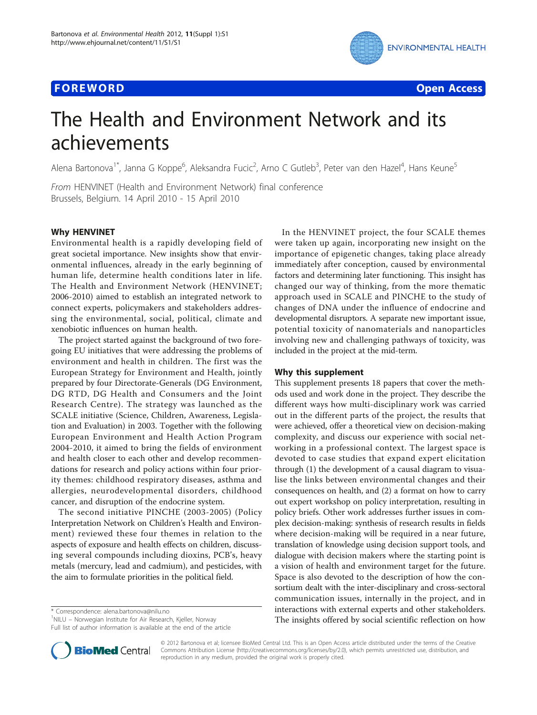## **FOREWORD CONSUMING THE EXAMPLE THE EXAMPLE THE EXAMPLE THE EXAMPLE THE EXAMPLE THE EXAMPLE THE EXAMPLE THE EXAMPLE THE EXAMPLE THE EXAMPLE THE EXAMPLE THE EXAMPLE THE EXAMPLE THE EXAMPLE THE EXAMPLE THE EXAMPLE THE EXAM**



# The Health and Environment Network and its achievements

Alena Bartonova<sup>1\*</sup>, Janna G Koppe<sup>6</sup>, Aleksandra Fucic<sup>2</sup>, Arno C Gutleb<sup>3</sup>, Peter van den Hazel<sup>4</sup>, Hans Keune<sup>5</sup>

From HENVINET (Health and Environment Network) final conference Brussels, Belgium. 14 April 2010 - 15 April 2010

## Why HENVINET

Environmental health is a rapidly developing field of great societal importance. New insights show that environmental influences, already in the early beginning of human life, determine health conditions later in life. The Health and Environment Network (HENVINET; 2006-2010) aimed to establish an integrated network to connect experts, policymakers and stakeholders addressing the environmental, social, political, climate and xenobiotic influences on human health.

The project started against the background of two foregoing EU initiatives that were addressing the problems of environment and health in children. The first was the European Strategy for Environment and Health, jointly prepared by four Directorate-Generals (DG Environment, DG RTD, DG Health and Consumers and the Joint Research Centre). The strategy was launched as the SCALE initiative (Science, Children, Awareness, Legislation and Evaluation) in 2003. Together with the following European Environment and Health Action Program 2004-2010, it aimed to bring the fields of environment and health closer to each other and develop recommendations for research and policy actions within four priority themes: childhood respiratory diseases, asthma and allergies, neurodevelopmental disorders, childhood cancer, and disruption of the endocrine system.

The second initiative PINCHE (2003-2005) (Policy Interpretation Network on Children's Health and Environment) reviewed these four themes in relation to the aspects of exposure and health effects on children, discussing several compounds including dioxins, PCB's, heavy metals (mercury, lead and cadmium), and pesticides, with the aim to formulate priorities in the political field.

\* Correspondence: [alena.bartonova@nilu.no](mailto:alena.bartonova@nilu.no)

<sup>1</sup>NILU - Norwegian Institute for Air Research, Kjeller, Norway Full list of author information is available at the end of the article

In the HENVINET project, the four SCALE themes were taken up again, incorporating new insight on the importance of epigenetic changes, taking place already immediately after conception, caused by environmental factors and determining later functioning. This insight has changed our way of thinking, from the more thematic approach used in SCALE and PINCHE to the study of changes of DNA under the influence of endocrine and developmental disruptors. A separate new important issue, potential toxicity of nanomaterials and nanoparticles involving new and challenging pathways of toxicity, was included in the project at the mid-term.

## Why this supplement

This supplement presents 18 papers that cover the methods used and work done in the project. They describe the different ways how multi-disciplinary work was carried out in the different parts of the project, the results that were achieved, offer a theoretical view on decision-making complexity, and discuss our experience with social networking in a professional context. The largest space is devoted to case studies that expand expert elicitation through (1) the development of a causal diagram to visualise the links between environmental changes and their consequences on health, and (2) a format on how to carry out expert workshop on policy interpretation, resulting in policy briefs. Other work addresses further issues in complex decision-making: synthesis of research results in fields where decision-making will be required in a near future, translation of knowledge using decision support tools, and dialogue with decision makers where the starting point is a vision of health and environment target for the future. Space is also devoted to the description of how the consortium dealt with the inter-disciplinary and cross-sectoral communication issues, internally in the project, and in interactions with external experts and other stakeholders. The insights offered by social scientific reflection on how



© 2012 Bartonova et al; licensee BioMed Central Ltd. This is an Open Access article distributed under the terms of the Creative Commons Attribution License [\(http://creativecommons.org/licenses/by/2.0](http://creativecommons.org/licenses/by/2.0)), which permits unrestricted use, distribution, and reproduction in any medium, provided the original work is properly cited.